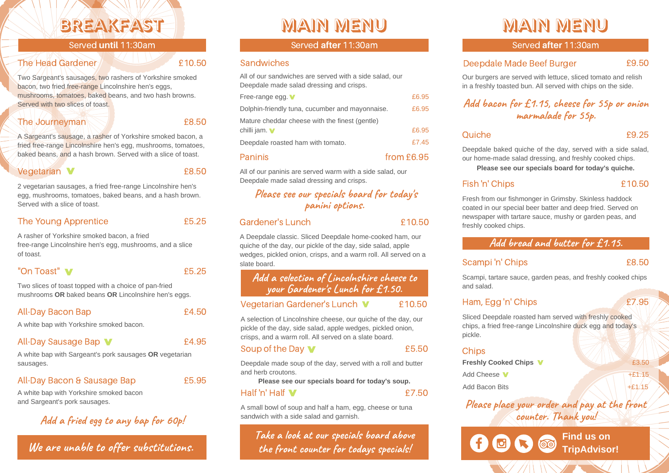# Breakfast

Served **until** 11:30am

#### The Head Gardener **10.50**

Two Sargeant's sausages, two rashers of Yorkshire smoked bacon, two fried free-range Lincolnshire hen's eggs, mushrooms, tomatoes, baked beans, and two hash browns. Served with two slices of toast.

#### The Journeyman and the Second E8.50

A Sargeant's sausage, a rasher of Yorkshire smoked bacon, a fried free-range Lincolnshire hen's egg, mushrooms, tomatoes, baked beans, and a hash brown. Served with a slice of toast.

Vegetarian **V E8.50** 

2 vegetarian sausages, a fried free-range Lincolnshire hen's egg, mushrooms, tomatoes, baked beans, and a hash brown. Served with a slice of toast.

#### The Young Apprentice **E5.25**

A rasher of Yorkshire smoked bacon, a fried free-range Lincolnshire hen's egg, mushrooms, and a slice of toast.

#### "On Toast" v

Two slices of toast topped with a choice of pan-fried mushrooms **OR** baked beans **OR** Lincolnshire hen's eggs.

### All-Day Bacon Bap **E4.50**

A white bap with Yorkshire smoked bacon.

## All-Day Sausage Bap **V** 64.95

A white bap with Sargeant's pork sausages **OR** vegetarian sausages.

## All-Day Bacon & Sausage Bap **E**5.95

A white bap with Yorkshire smoked bacon and Sargeant's pork sausages.

# **Add a fried egg to any bap for 60p!**

**We are unable to offer substitutions.**

# MAIN MENU

#### Served **after** 11:30am

#### **Sandwiches**

Mature cheddar cheese with the finest (gentle) chilli jam. v E6.95 All of our sandwiches are served with a side salad, our Deepdale made salad dressing and crisps. Dolphin-friendly tuna, cucumber and mayonnaise. £6.95 Deepdale roasted ham with tomato. **ET.45** Free-range egg. **V** E6.95 Paninis **From E6.95** 

All of our paninis are served warm with a side salad, our Deepdale made salad dressing and crisps.

# **Please see our specials board for today's panini options.**

#### Gardener's Lunch **E10.50**

A Deepdale classic. Sliced Deepdale home-cooked ham, our quiche of the day, our pickle of the day, side salad, apple wedges, pickled onion, crisps, and a warm roll. All served on a slate board.

# **Add a selection of Lincolnshire cheese to your Gardener's Lunch for £1.50.**

#### Vegetarian Gardener's Lunch **V** £10.50

A selection of Lincolnshire cheese, our quiche of the day, our pickle of the day, side salad, apple wedges, pickled onion, crisps, and a warm roll. All served on a slate board.

#### Soup of the Day **M** 65.50

Deepdale made soup of the day, served with a roll and butter and herb croutons.

**Please see our specials board for today's soup.**

#### Half 'n' Half £7.50

A small bowl of soup and half a ham, egg, cheese or tuna sandwich with a side salad and garnish.

**Take a look at our specials board above the front counter for todays specials!**

# MAIN MENU

Served **after** 11:30am

#### Deepdale Made Beef Burger £9.50

Our burgers are served with lettuce, sliced tomato and relish in a freshly toasted bun. All served with chips on the side.

# **Add bacon for £1.15, cheese for 55p or onion marmalade for 55p.**

Quiche  $\overline{9.25}$ 

Deepdale baked quiche of the day, served with a side salad, our home-made salad dressing, and freshly cooked chips.

**Please see our specials board for today's quiche.**

# Fish 'n' Chips £10.50

Fresh from our fishmonger in Grimsby. Skinless haddock coated in our special beer batter and deep fried. Served on newspaper with tartare sauce, mushy or garden peas, and freshly cooked chips.

# **Add bread and butter for £1.15.**

### Scampi 'n' Chips £8.50

Scampi, tartare sauce, garden peas, and freshly cooked chips and salad.

## Ham, Egg 'n' Chips **2008**

Sliced Deepdale roasted ham served with freshly cooked chips, a fried free-range Lincolnshire duck egg and today's pickle.

### **Chips**

**Freshly Cooked Chips V**  $\overbrace{23.50}$ Add Cheese  $\sqrt{1 + £1.15}$ Add Bacon Bits  $+£1.15$ 

**Please place your order and pay at the front counter. Thank you!**

> **Find us on** ଭିତ **TripAdvisor!**